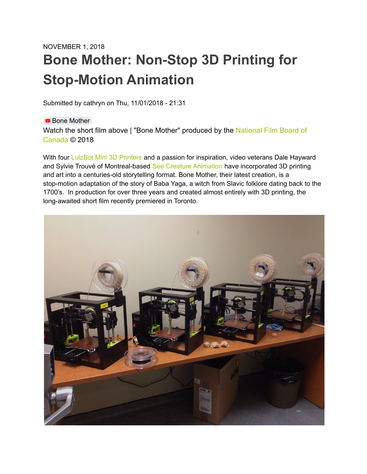## NOVEMBER 1, 2018 **Bone Mother: Non-Stop 3D Printing for Stop-Motion Animation**

Submitted by cathryn on Thu, 11/01/2018 - 21:31

**Bone [Mother](https://www.youtube.com/watch?v=48gznaWSdf0)** Watch the short film above | "Bone Mother" produced by the [National Film Board of](https://www.nfb.ca/film/bone-mother/) [Canada](https://www.nfb.ca/film/bone-mother/) © 2018

With four LulzBot Mini 3D [Printers](https://www.lulzbot.com/store/printers/lulzbot-mini-2) and a passion for inspiration, video veterans Dale Hayward and Sylvie Trouvé of Montreal-based See Creature [Animation](https://www.seecreature.ca/) have incorporated 3D printing and art into a centuries-old storytelling format. Bone Mother, their latest creation, is a stop-motion adaptation of the story of Baba Yaga, a witch from Slavic folklore dating back to the 1700's. In production for over three years and created almost entirely with 3D printing, the long-awaited short film recently premiered in Toronto.

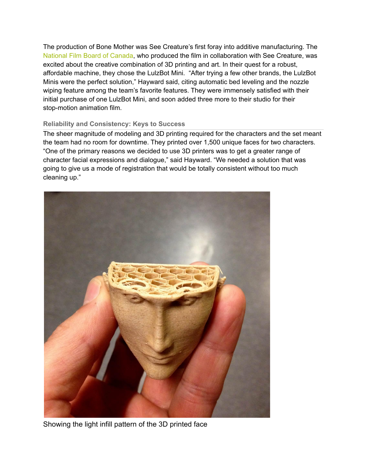The production of Bone Mother was See Creature's first foray into additive manufacturing. The [National](https://www.nfb.ca/) Film Board of Canada, who produced the film in collaboration with See Creature, was excited about the creative combination of 3D printing and art. In their quest for a robust, affordable machine, they chose the LulzBot Mini. "After trying a few other brands, the LulzBot Minis were the perfect solution," Hayward said, citing automatic bed leveling and the nozzle wiping feature among the team's favorite features. They were immensely satisfied with their initial purchase of one LulzBot Mini, and soon added three more to their studio for their stop-motion animation film.

## **Reliability and Consistency: Keys to Success**

The sheer magnitude of modeling and 3D printing required for the characters and the set meant the team had no room for downtime. They printed over 1,500 unique faces for two characters. "One of the primary reasons we decided to use 3D printers was to get a greater range of character facial expressions and dialogue," said Hayward. "We needed a solution that was going to give us a mode of registration that would be totally consistent without too much cleaning up."



Showing the light infill pattern of the 3D printed face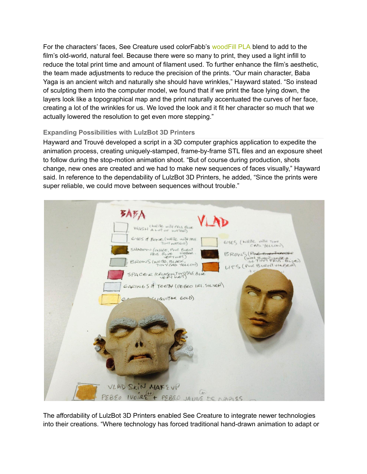For the characters' faces. See Creature used colorFabb's [woodFill](https://www.lulzbot.com/store/filament/woodfill) PLA blend to add to the film's old-world, natural feel. Because there were so many to print, they used a light infill to reduce the total print time and amount of filament used. To further enhance the film's aesthetic, the team made adjustments to reduce the precision of the prints. "Our main character, Baba Yaga is an ancient witch and naturally she should have wrinkles," Hayward stated. "So instead of sculpting them into the computer model, we found that if we print the face lying down, the layers look like a topographical map and the print naturally accentuated the curves of her face, creating a lot of the wrinkles for us. We loved the look and it fit her character so much that we actually lowered the resolution to get even more stepping."

## **Expanding Possibilities with LulzBot 3D Printers**

Hayward and Trouvé developed a script in a 3D computer graphics application to expedite the animation process, creating uniquely-stamped, frame-by-frame STL files and an exposure sheet to follow during the stop-motion animation shoot. "But of course during production, shots change, new ones are created and we had to make new sequences of faces visually," Hayward said. In reference to the dependability of LulzBot 3D Printers, he added, "Since the prints were super reliable, we could move between sequences without trouble."



The affordability of LulzBot 3D Printers enabled See Creature to integrate newer technologies into their creations. "Where technology has forced traditional hand-drawn animation to adapt or